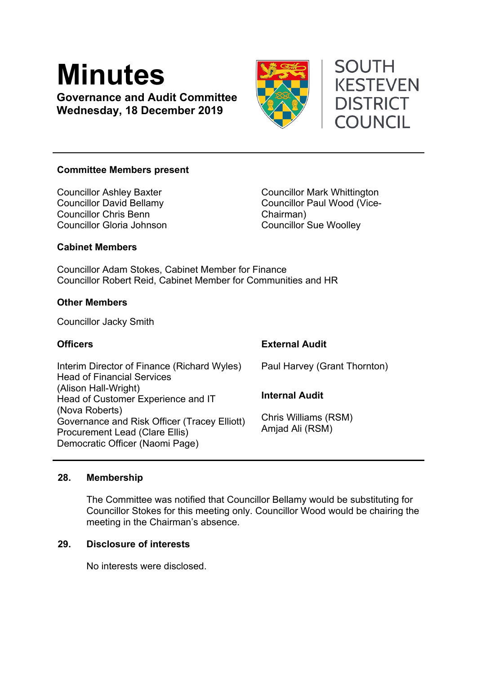# **Minutes**

**Governance and Audit Committee Wednesday, 18 December 2019**



# **SOUTH KESTEVEN DISTRICT COUNCIL**

# **Committee Members present**

Councillor Ashley Baxter Councillor David Bellamy Councillor Chris Benn Councillor Gloria Johnson

Councillor Mark Whittington Councillor Paul Wood (Vice-Chairman) Councillor Sue Woolley

# **Cabinet Members**

Councillor Adam Stokes, Cabinet Member for Finance Councillor Robert Reid, Cabinet Member for Communities and HR

# **Other Members**

Councillor Jacky Smith

| <b>Officers</b>                                                                                                                            | <b>External Audit</b>                   |
|--------------------------------------------------------------------------------------------------------------------------------------------|-----------------------------------------|
| Interim Director of Finance (Richard Wyles)<br><b>Head of Financial Services</b>                                                           | Paul Harvey (Grant Thornton)            |
| (Alison Hall-Wright)<br>Head of Customer Experience and IT                                                                                 | <b>Internal Audit</b>                   |
| (Nova Roberts)<br>Governance and Risk Officer (Tracey Elliott)<br><b>Procurement Lead (Clare Ellis)</b><br>Democratic Officer (Naomi Page) | Chris Williams (RSM)<br>Amjad Ali (RSM) |

#### **28. Membership**

The Committee was notified that Councillor Bellamy would be substituting for Councillor Stokes for this meeting only. Councillor Wood would be chairing the meeting in the Chairman's absence.

# **29. Disclosure of interests**

No interests were disclosed.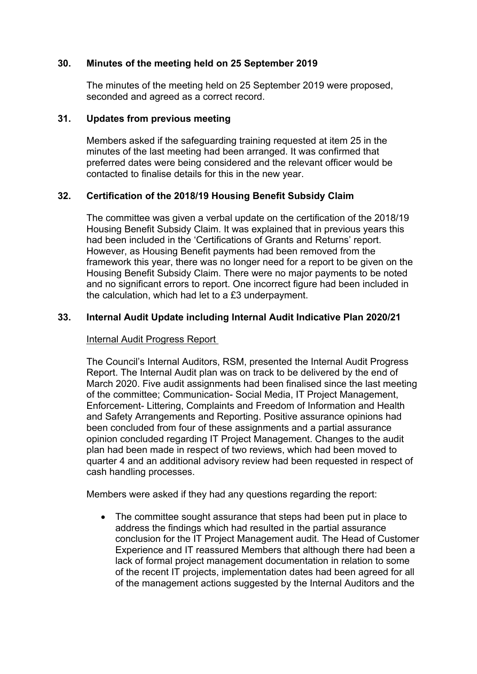# **30. Minutes of the meeting held on 25 September 2019**

The minutes of the meeting held on 25 September 2019 were proposed, seconded and agreed as a correct record.

#### **31. Updates from previous meeting**

Members asked if the safeguarding training requested at item 25 in the minutes of the last meeting had been arranged. It was confirmed that preferred dates were being considered and the relevant officer would be contacted to finalise details for this in the new year.

#### **32. Certification of the 2018/19 Housing Benefit Subsidy Claim**

The committee was given a verbal update on the certification of the 2018/19 Housing Benefit Subsidy Claim. It was explained that in previous years this had been included in the 'Certifications of Grants and Returns' report. However, as Housing Benefit payments had been removed from the framework this year, there was no longer need for a report to be given on the Housing Benefit Subsidy Claim. There were no major payments to be noted and no significant errors to report. One incorrect figure had been included in the calculation, which had let to a £3 underpayment.

# **33. Internal Audit Update including Internal Audit Indicative Plan 2020/21**

#### Internal Audit Progress Report

The Council's Internal Auditors, RSM, presented the Internal Audit Progress Report. The Internal Audit plan was on track to be delivered by the end of March 2020. Five audit assignments had been finalised since the last meeting of the committee; Communication- Social Media, IT Project Management, Enforcement- Littering, Complaints and Freedom of Information and Health and Safety Arrangements and Reporting. Positive assurance opinions had been concluded from four of these assignments and a partial assurance opinion concluded regarding IT Project Management. Changes to the audit plan had been made in respect of two reviews, which had been moved to quarter 4 and an additional advisory review had been requested in respect of cash handling processes.

Members were asked if they had any questions regarding the report:

• The committee sought assurance that steps had been put in place to address the findings which had resulted in the partial assurance conclusion for the IT Project Management audit. The Head of Customer Experience and IT reassured Members that although there had been a lack of formal project management documentation in relation to some of the recent IT projects, implementation dates had been agreed for all of the management actions suggested by the Internal Auditors and the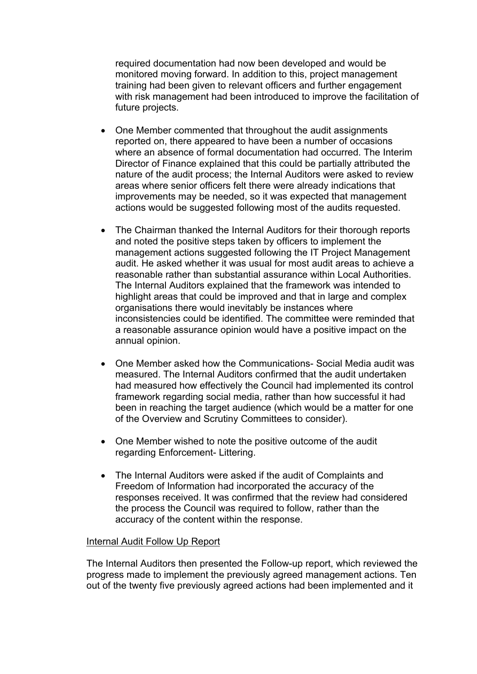required documentation had now been developed and would be monitored moving forward. In addition to this, project management training had been given to relevant officers and further engagement with risk management had been introduced to improve the facilitation of future projects.

- One Member commented that throughout the audit assignments reported on, there appeared to have been a number of occasions where an absence of formal documentation had occurred. The Interim Director of Finance explained that this could be partially attributed the nature of the audit process; the Internal Auditors were asked to review areas where senior officers felt there were already indications that improvements may be needed, so it was expected that management actions would be suggested following most of the audits requested.
- The Chairman thanked the Internal Auditors for their thorough reports and noted the positive steps taken by officers to implement the management actions suggested following the IT Project Management audit. He asked whether it was usual for most audit areas to achieve a reasonable rather than substantial assurance within Local Authorities. The Internal Auditors explained that the framework was intended to highlight areas that could be improved and that in large and complex organisations there would inevitably be instances where inconsistencies could be identified. The committee were reminded that a reasonable assurance opinion would have a positive impact on the annual opinion.
- One Member asked how the Communications- Social Media audit was measured. The Internal Auditors confirmed that the audit undertaken had measured how effectively the Council had implemented its control framework regarding social media, rather than how successful it had been in reaching the target audience (which would be a matter for one of the Overview and Scrutiny Committees to consider).
- One Member wished to note the positive outcome of the audit regarding Enforcement- Littering.
- The Internal Auditors were asked if the audit of Complaints and Freedom of Information had incorporated the accuracy of the responses received. It was confirmed that the review had considered the process the Council was required to follow, rather than the accuracy of the content within the response.

#### Internal Audit Follow Up Report

The Internal Auditors then presented the Follow-up report, which reviewed the progress made to implement the previously agreed management actions. Ten out of the twenty five previously agreed actions had been implemented and it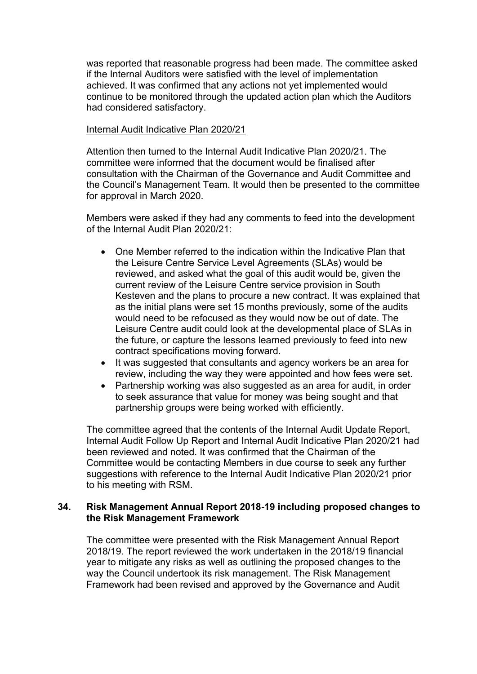was reported that reasonable progress had been made. The committee asked if the Internal Auditors were satisfied with the level of implementation achieved. It was confirmed that any actions not yet implemented would continue to be monitored through the updated action plan which the Auditors had considered satisfactory.

#### Internal Audit Indicative Plan 2020/21

Attention then turned to the Internal Audit Indicative Plan 2020/21. The committee were informed that the document would be finalised after consultation with the Chairman of the Governance and Audit Committee and the Council's Management Team. It would then be presented to the committee for approval in March 2020.

Members were asked if they had any comments to feed into the development of the Internal Audit Plan 2020/21:

- One Member referred to the indication within the Indicative Plan that the Leisure Centre Service Level Agreements (SLAs) would be reviewed, and asked what the goal of this audit would be, given the current review of the Leisure Centre service provision in South Kesteven and the plans to procure a new contract. It was explained that as the initial plans were set 15 months previously, some of the audits would need to be refocused as they would now be out of date. The Leisure Centre audit could look at the developmental place of SLAs in the future, or capture the lessons learned previously to feed into new contract specifications moving forward.
- It was suggested that consultants and agency workers be an area for review, including the way they were appointed and how fees were set.
- Partnership working was also suggested as an area for audit, in order to seek assurance that value for money was being sought and that partnership groups were being worked with efficiently.

The committee agreed that the contents of the Internal Audit Update Report, Internal Audit Follow Up Report and Internal Audit Indicative Plan 2020/21 had been reviewed and noted. It was confirmed that the Chairman of the Committee would be contacting Members in due course to seek any further suggestions with reference to the Internal Audit Indicative Plan 2020/21 prior to his meeting with RSM.

#### **34. Risk Management Annual Report 2018-19 including proposed changes to the Risk Management Framework**

The committee were presented with the Risk Management Annual Report 2018/19. The report reviewed the work undertaken in the 2018/19 financial year to mitigate any risks as well as outlining the proposed changes to the way the Council undertook its risk management. The Risk Management Framework had been revised and approved by the Governance and Audit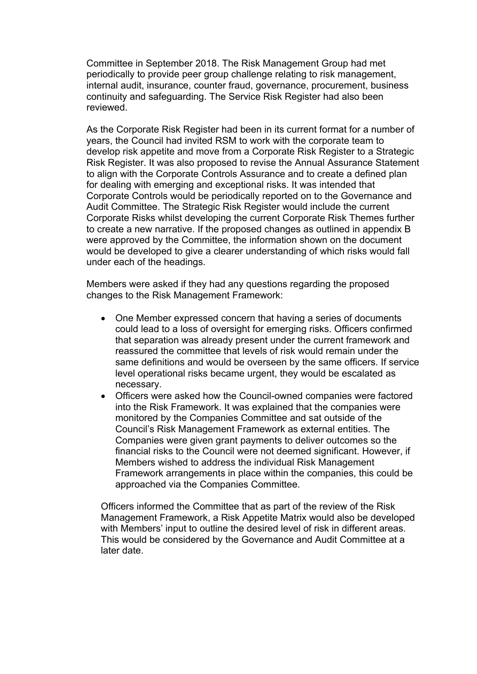Committee in September 2018. The Risk Management Group had met periodically to provide peer group challenge relating to risk management, internal audit, insurance, counter fraud, governance, procurement, business continuity and safeguarding. The Service Risk Register had also been reviewed.

As the Corporate Risk Register had been in its current format for a number of years, the Council had invited RSM to work with the corporate team to develop risk appetite and move from a Corporate Risk Register to a Strategic Risk Register. It was also proposed to revise the Annual Assurance Statement to align with the Corporate Controls Assurance and to create a defined plan for dealing with emerging and exceptional risks. It was intended that Corporate Controls would be periodically reported on to the Governance and Audit Committee. The Strategic Risk Register would include the current Corporate Risks whilst developing the current Corporate Risk Themes further to create a new narrative. If the proposed changes as outlined in appendix B were approved by the Committee, the information shown on the document would be developed to give a clearer understanding of which risks would fall under each of the headings.

Members were asked if they had any questions regarding the proposed changes to the Risk Management Framework:

- One Member expressed concern that having a series of documents could lead to a loss of oversight for emerging risks. Officers confirmed that separation was already present under the current framework and reassured the committee that levels of risk would remain under the same definitions and would be overseen by the same officers. If service level operational risks became urgent, they would be escalated as necessary.
- Officers were asked how the Council-owned companies were factored into the Risk Framework. It was explained that the companies were monitored by the Companies Committee and sat outside of the Council's Risk Management Framework as external entities. The Companies were given grant payments to deliver outcomes so the financial risks to the Council were not deemed significant. However, if Members wished to address the individual Risk Management Framework arrangements in place within the companies, this could be approached via the Companies Committee.

Officers informed the Committee that as part of the review of the Risk Management Framework, a Risk Appetite Matrix would also be developed with Members' input to outline the desired level of risk in different areas. This would be considered by the Governance and Audit Committee at a later date.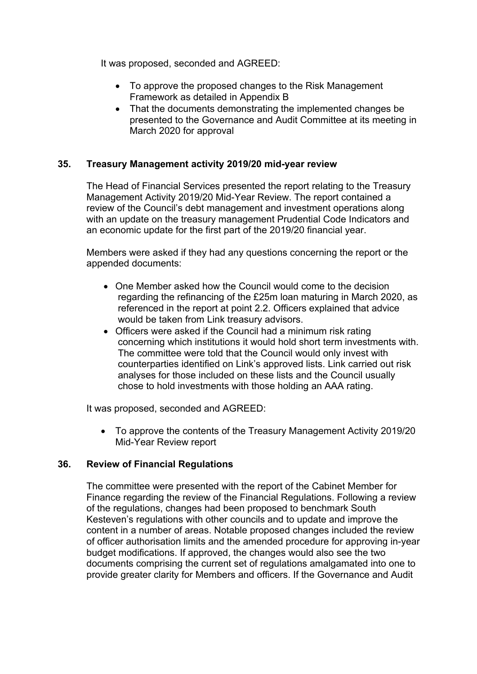It was proposed, seconded and AGREED:

- To approve the proposed changes to the Risk Management Framework as detailed in Appendix B
- That the documents demonstrating the implemented changes be presented to the Governance and Audit Committee at its meeting in March 2020 for approval

# **35. Treasury Management activity 2019/20 mid-year review**

The Head of Financial Services presented the report relating to the Treasury Management Activity 2019/20 Mid-Year Review. The report contained a review of the Council's debt management and investment operations along with an update on the treasury management Prudential Code Indicators and an economic update for the first part of the 2019/20 financial year.

Members were asked if they had any questions concerning the report or the appended documents:

- One Member asked how the Council would come to the decision regarding the refinancing of the £25m loan maturing in March 2020, as referenced in the report at point 2.2. Officers explained that advice would be taken from Link treasury advisors.
- Officers were asked if the Council had a minimum risk rating concerning which institutions it would hold short term investments with. The committee were told that the Council would only invest with counterparties identified on Link's approved lists. Link carried out risk analyses for those included on these lists and the Council usually chose to hold investments with those holding an AAA rating.

It was proposed, seconded and AGREED:

 To approve the contents of the Treasury Management Activity 2019/20 Mid-Year Review report

# **36. Review of Financial Regulations**

The committee were presented with the report of the Cabinet Member for Finance regarding the review of the Financial Regulations. Following a review of the regulations, changes had been proposed to benchmark South Kesteven's regulations with other councils and to update and improve the content in a number of areas. Notable proposed changes included the review of officer authorisation limits and the amended procedure for approving in-year budget modifications. If approved, the changes would also see the two documents comprising the current set of regulations amalgamated into one to provide greater clarity for Members and officers. If the Governance and Audit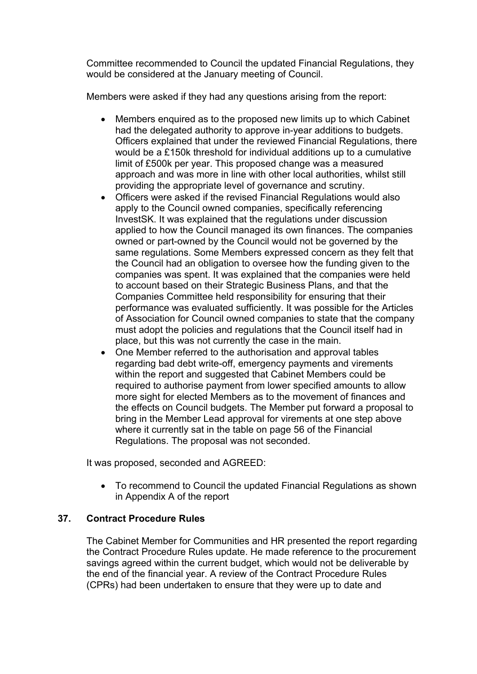Committee recommended to Council the updated Financial Regulations, they would be considered at the January meeting of Council.

Members were asked if they had any questions arising from the report:

- Members enquired as to the proposed new limits up to which Cabinet had the delegated authority to approve in-year additions to budgets. Officers explained that under the reviewed Financial Regulations, there would be a £150k threshold for individual additions up to a cumulative limit of £500k per year. This proposed change was a measured approach and was more in line with other local authorities, whilst still providing the appropriate level of governance and scrutiny.
- Officers were asked if the revised Financial Regulations would also apply to the Council owned companies, specifically referencing InvestSK. It was explained that the regulations under discussion applied to how the Council managed its own finances. The companies owned or part-owned by the Council would not be governed by the same regulations. Some Members expressed concern as they felt that the Council had an obligation to oversee how the funding given to the companies was spent. It was explained that the companies were held to account based on their Strategic Business Plans, and that the Companies Committee held responsibility for ensuring that their performance was evaluated sufficiently. It was possible for the Articles of Association for Council owned companies to state that the company must adopt the policies and regulations that the Council itself had in place, but this was not currently the case in the main.
- One Member referred to the authorisation and approval tables regarding bad debt write-off, emergency payments and virements within the report and suggested that Cabinet Members could be required to authorise payment from lower specified amounts to allow more sight for elected Members as to the movement of finances and the effects on Council budgets. The Member put forward a proposal to bring in the Member Lead approval for virements at one step above where it currently sat in the table on page 56 of the Financial Regulations. The proposal was not seconded.

It was proposed, seconded and AGREED:

 To recommend to Council the updated Financial Regulations as shown in Appendix A of the report

# **37. Contract Procedure Rules**

The Cabinet Member for Communities and HR presented the report regarding the Contract Procedure Rules update. He made reference to the procurement savings agreed within the current budget, which would not be deliverable by the end of the financial year. A review of the Contract Procedure Rules (CPRs) had been undertaken to ensure that they were up to date and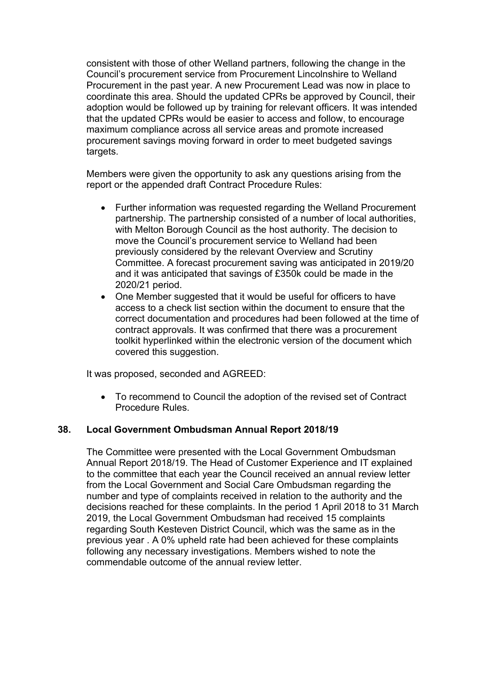consistent with those of other Welland partners, following the change in the Council's procurement service from Procurement Lincolnshire to Welland Procurement in the past year. A new Procurement Lead was now in place to coordinate this area. Should the updated CPRs be approved by Council, their adoption would be followed up by training for relevant officers. It was intended that the updated CPRs would be easier to access and follow, to encourage maximum compliance across all service areas and promote increased procurement savings moving forward in order to meet budgeted savings targets.

Members were given the opportunity to ask any questions arising from the report or the appended draft Contract Procedure Rules:

- Further information was requested regarding the Welland Procurement partnership. The partnership consisted of a number of local authorities, with Melton Borough Council as the host authority. The decision to move the Council's procurement service to Welland had been previously considered by the relevant Overview and Scrutiny Committee. A forecast procurement saving was anticipated in 2019/20 and it was anticipated that savings of £350k could be made in the 2020/21 period.
- One Member suggested that it would be useful for officers to have access to a check list section within the document to ensure that the correct documentation and procedures had been followed at the time of contract approvals. It was confirmed that there was a procurement toolkit hyperlinked within the electronic version of the document which covered this suggestion.

It was proposed, seconded and AGREED:

 To recommend to Council the adoption of the revised set of Contract Procedure Rules.

#### **38. Local Government Ombudsman Annual Report 2018/19**

The Committee were presented with the Local Government Ombudsman Annual Report 2018/19. The Head of Customer Experience and IT explained to the committee that each year the Council received an annual review letter from the Local Government and Social Care Ombudsman regarding the number and type of complaints received in relation to the authority and the decisions reached for these complaints. In the period 1 April 2018 to 31 March 2019, the Local Government Ombudsman had received 15 complaints regarding South Kesteven District Council, which was the same as in the previous year . A 0% upheld rate had been achieved for these complaints following any necessary investigations. Members wished to note the commendable outcome of the annual review letter.